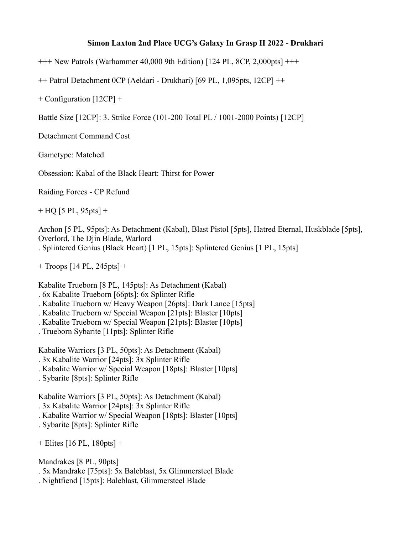## **Simon Laxton 2nd Place UCG's Galaxy In Grasp II 2022 - Drukhari**

+++ New Patrols (Warhammer 40,000 9th Edition) [124 PL, 8CP, 2,000pts] +++

++ Patrol Detachment 0CP (Aeldari - Drukhari) [69 PL, 1,095pts, 12CP] ++

+ Configuration [12CP] +

Battle Size [12CP]: 3. Strike Force (101-200 Total PL / 1001-2000 Points) [12CP]

Detachment Command Cost

Gametype: Matched

Obsession: Kabal of the Black Heart: Thirst for Power

Raiding Forces - CP Refund

 $+ HQ$  [5 PL, 95pts]  $+$ 

Archon [5 PL, 95pts]: As Detachment (Kabal), Blast Pistol [5pts], Hatred Eternal, Huskblade [5pts], Overlord, The Djin Blade, Warlord . Splintered Genius (Black Heart) [1 PL, 15pts]: Splintered Genius [1 PL, 15pts]

+ Troops [14 PL, 245pts] +

Kabalite Trueborn [8 PL, 145pts]: As Detachment (Kabal)

. 6x Kabalite Trueborn [66pts]: 6x Splinter Rifle

. Kabalite Trueborn w/ Heavy Weapon [26pts]: Dark Lance [15pts]

. Kabalite Trueborn w/ Special Weapon [21pts]: Blaster [10pts]

. Kabalite Trueborn w/ Special Weapon [21pts]: Blaster [10pts]

. Trueborn Sybarite [11pts]: Splinter Rifle

Kabalite Warriors [3 PL, 50pts]: As Detachment (Kabal)

- . 3x Kabalite Warrior [24pts]: 3x Splinter Rifle
- . Kabalite Warrior w/ Special Weapon [18pts]: Blaster [10pts]
- . Sybarite [8pts]: Splinter Rifle

Kabalite Warriors [3 PL, 50pts]: As Detachment (Kabal)

. 3x Kabalite Warrior [24pts]: 3x Splinter Rifle

. Kabalite Warrior w/ Special Weapon [18pts]: Blaster [10pts]

. Sybarite [8pts]: Splinter Rifle

+ Elites [16 PL, 180pts] +

Mandrakes [8 PL, 90pts]

. 5x Mandrake [75pts]: 5x Baleblast, 5x Glimmersteel Blade

. Nightfiend [15pts]: Baleblast, Glimmersteel Blade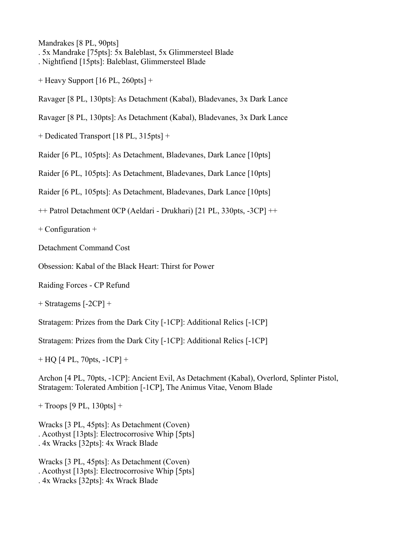Mandrakes [8 PL, 90pts]

. 5x Mandrake [75pts]: 5x Baleblast, 5x Glimmersteel Blade

. Nightfiend [15pts]: Baleblast, Glimmersteel Blade

+ Heavy Support [16 PL, 260pts] +

Ravager [8 PL, 130pts]: As Detachment (Kabal), Bladevanes, 3x Dark Lance

Ravager [8 PL, 130pts]: As Detachment (Kabal), Bladevanes, 3x Dark Lance

+ Dedicated Transport [18 PL, 315pts] +

Raider [6 PL, 105pts]: As Detachment, Bladevanes, Dark Lance [10pts]

Raider [6 PL, 105pts]: As Detachment, Bladevanes, Dark Lance [10pts]

Raider [6 PL, 105pts]: As Detachment, Bladevanes, Dark Lance [10pts]

++ Patrol Detachment 0CP (Aeldari - Drukhari) [21 PL, 330pts, -3CP] ++

+ Configuration +

Detachment Command Cost

Obsession: Kabal of the Black Heart: Thirst for Power

Raiding Forces - CP Refund

+ Stratagems [-2CP] +

Stratagem: Prizes from the Dark City [-1CP]: Additional Relics [-1CP]

Stratagem: Prizes from the Dark City [-1CP]: Additional Relics [-1CP]

+ HQ [4 PL, 70pts, -1CP] +

Archon [4 PL, 70pts, -1CP]: Ancient Evil, As Detachment (Kabal), Overlord, Splinter Pistol, Stratagem: Tolerated Ambition [-1CP], The Animus Vitae, Venom Blade

+ Troops [9 PL, 130pts] +

Wracks [3 PL, 45pts]: As Detachment (Coven) . Acothyst [13pts]: Electrocorrosive Whip [5pts] . 4x Wracks [32pts]: 4x Wrack Blade

Wracks [3 PL, 45pts]: As Detachment (Coven) . Acothyst [13pts]: Electrocorrosive Whip [5pts] . 4x Wracks [32pts]: 4x Wrack Blade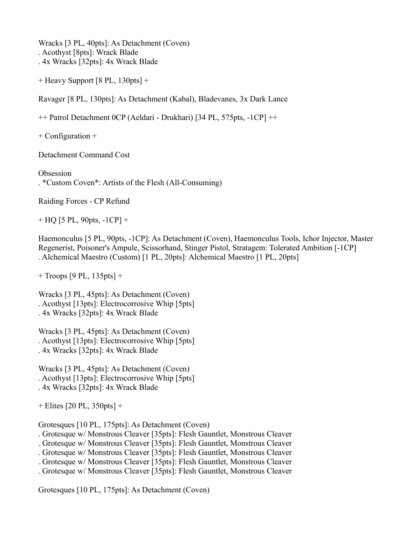Wracks [3 PL, 40pts]: As Detachment (Coven) . Acothyst [8pts]: Wrack Blade . 4x Wracks [32pts]: 4x Wrack Blade

+ Heavy Support [8 PL, 130pts] +

Ravager [8 PL, 130pts]: As Detachment (Kabal), Bladevanes, 3x Dark Lance

++ Patrol Detachment 0CP (Aeldari - Drukhari) [34 PL, 575pts, -1CP] ++

+ Configuration +

Detachment Command Cost

Obsession . \*Custom Coven\*: Artists of the Flesh (All-Consuming)

Raiding Forces - CP Refund

 $+$  HQ [5 PL, 90pts,  $-1CP$ ] +

Haemonculus [5 PL, 90pts, -1CP]: As Detachment (Coven), Haemonculus Tools, Ichor Injector, Master Regenerist, Poisoner's Ampule, Scissorhand, Stinger Pistol, Stratagem: Tolerated Ambition [-1CP] . Alchemical Maestro (Custom) [1 PL, 20pts]: Alchemical Maestro [1 PL, 20pts]

+ Troops [9 PL, 135pts] +

Wracks [3 PL, 45pts]: As Detachment (Coven) . Acothyst [13pts]: Electrocorrosive Whip [5pts] . 4x Wracks [32pts]: 4x Wrack Blade

Wracks [3 PL, 45pts]: As Detachment (Coven) . Acothyst [13pts]: Electrocorrosive Whip [5pts] . 4x Wracks [32pts]: 4x Wrack Blade

Wracks [3 PL, 45pts]: As Detachment (Coven) . Acothyst [13pts]: Electrocorrosive Whip [5pts] . 4x Wracks [32pts]: 4x Wrack Blade

+ Elites [20 PL, 350pts] +

Grotesques [10 PL, 175pts]: As Detachment (Coven)

. Grotesque w/ Monstrous Cleaver [35pts]: Flesh Gauntlet, Monstrous Cleaver

. Grotesque w/ Monstrous Cleaver [35pts]: Flesh Gauntlet, Monstrous Cleaver

. Grotesque w/ Monstrous Cleaver [35pts]: Flesh Gauntlet, Monstrous Cleaver

. Grotesque w/ Monstrous Cleaver [35pts]: Flesh Gauntlet, Monstrous Cleaver

. Grotesque w/ Monstrous Cleaver [35pts]: Flesh Gauntlet, Monstrous Cleaver

Grotesques [10 PL, 175pts]: As Detachment (Coven)